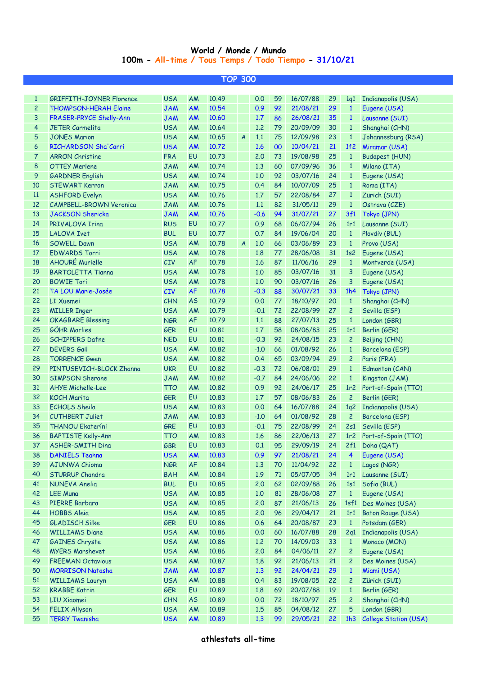## **World / Monde / Mundo 100m - All-time / Tous Temps / Todo Tiempo - 31/10/21**

|                | TOP 300                         |            |           |       |                  |        |    |                      |    |                   |                           |  |  |
|----------------|---------------------------------|------------|-----------|-------|------------------|--------|----|----------------------|----|-------------------|---------------------------|--|--|
|                |                                 |            |           |       |                  |        |    |                      |    |                   |                           |  |  |
| $\mathbf{1}$   | <b>GRIFFITH-JOYNER Florence</b> | <b>USA</b> | AM        | 10.49 |                  | 0.0    | 59 | 16/07/88             | 29 | 1q1               | Indianapolis (USA)        |  |  |
| $\overline{c}$ | <b>THOMPSON-HERAH Elaine</b>    | <b>JAM</b> | <b>AM</b> | 10.54 |                  | 0.9    | 92 | 21/08/21             | 29 | $\mathbf{1}$      | Eugene (USA)              |  |  |
| 3              | FRASER-PRYCE Shelly-Ann         | <b>JAM</b> | <b>AM</b> | 10.60 |                  | 1.7    | 86 | 26/08/21             | 35 | $\mathbf{1}$      | Lausanne (SUI)            |  |  |
| 4              | <b>JETER Carmelita</b>          | <b>USA</b> | AM        | 10.64 |                  | 1,2    | 79 | 20/09/09             | 30 | $\mathbf{1}$      | Shanghai (CHN)            |  |  |
| 5              | <b>JONES Marion</b>             | <b>USA</b> | AM        | 10.65 | $\overline{A}$   | 1.1    | 75 | 12/09/98             | 23 | $\mathbf{1}$      | Johannesburg (RSA)        |  |  |
| 6              | RICHARDSON Sha'Carri            | <b>USA</b> | <b>AM</b> | 10.72 |                  | 1.6    | 00 | 10/04/21             | 21 | 1f <sub>2</sub>   | Miramar (USA)             |  |  |
| 7              | <b>ARRON Christine</b>          | <b>FRA</b> | EU        | 10.73 |                  | 2.0    | 73 | 19/08/98             | 25 | $\mathbf{1}$      | <b>Budapest (HUN)</b>     |  |  |
| 8              | <b>OTTEY Merlene</b>            | <b>JAM</b> | AM        | 10.74 |                  | 1.3    | 60 | 07/09/96             | 36 | $\mathbf{1}$      | Milano (ITA)              |  |  |
| 9              | <b>GARDNER English</b>          | <b>USA</b> | AM        | 10.74 |                  | 1.0    | 92 | 03/07/16             | 24 | $\mathbf{1}$      | Eugene (USA)              |  |  |
| 10             | <b>STEWART Kerron</b>           | <b>JAM</b> | AM        | 10.75 |                  | 0.4    | 84 | 10/07/09             | 25 | $\mathbf{1}$      | Roma (ITA)                |  |  |
| 11             | <b>ASHFORD Evelyn</b>           | <b>USA</b> | AM        | 10.76 |                  | 1.7    | 57 | 22/08/84             | 27 | $\mathbf{1}$      | Zürich (SUI)              |  |  |
| 12             | <b>CAMPBELL-BROWN Veronica</b>  | <b>JAM</b> | AM        | 10.76 |                  | 1.1    | 82 | 31/05/11             | 29 | $\mathbf{1}$      | Ostrava (CZE)             |  |  |
| 13             | <b>JACKSON Shericka</b>         | <b>JAM</b> | <b>AM</b> | 10.76 |                  | $-0.6$ | 94 | 31/07/21             | 27 | 3f1               | Tokyo (JPN)               |  |  |
| 14             | PRIVALOVA Irina                 | <b>RUS</b> | EU        | 10.77 |                  | 0.9    | 68 | 06/07/94             | 26 | 1r1               | Lausanne (SUI)            |  |  |
| 15             | <b>LALOVA Ivet</b>              | <b>BUL</b> | EU        | 10.77 |                  | 0.7    | 84 | 19/06/04             | 20 | $\mathbf{1}$      | Plovdiv (BUL)             |  |  |
| 16             | <b>SOWELL Dawn</b>              | <b>USA</b> | AM        | 10.78 | $\boldsymbol{A}$ | 1,0    | 66 | 03/06/89             | 23 | $\mathbf{1}$      | Provo (USA)               |  |  |
| 17             | <b>EDWARDS Torri</b>            | <b>USA</b> | AM        | 10.78 |                  | 1.8    | 77 | 28/06/08             | 31 | 1s <sub>2</sub>   | Eugene (USA)              |  |  |
| 18             | <b>AHOURÉ Murielle</b>          | CIV        | <b>AF</b> | 10.78 |                  | 1.6    | 87 | 11/06/16             | 29 | $\mathbf{1}$      | Montverde (USA)           |  |  |
| 19             | <b>BARTOLETTA Tianna</b>        | <b>USA</b> | AM        | 10.78 |                  | 1.0    | 85 | 03/07/16             | 31 | 3                 | Eugene (USA)              |  |  |
| 20             | <b>BOWIE Tori</b>               | <b>USA</b> | AM        | 10.78 |                  | 1.0    | 90 | 03/07/16             | 26 | 3                 | Eugene (USA)              |  |  |
| 21             | TA LOU Marie-Josée              | CIV        | <b>AF</b> | 10.78 |                  | $-0.3$ | 88 | 30/07/21             | 33 | 1h4               | Tokyo (JPN)               |  |  |
| 22             | <b>LI Xuemei</b>                | CHN        | <b>AS</b> | 10.79 |                  | 0.0    | 77 | 18/10/97             | 20 | $\mathbf{1}$      | Shanghai (CHN)            |  |  |
| 23             | <b>MILLER Inger</b>             | <b>USA</b> | AM        | 10.79 |                  | $-0.1$ | 72 | 22/08/99             | 27 | $\overline{c}$    | Sevilla (ESP)             |  |  |
| 24             | <b>OKAGBARE Blessing</b>        | <b>NGR</b> | <b>AF</b> | 10.79 |                  | 1.1    | 88 | 27/07/13             | 25 | $\mathbf{1}$      | London (GBR)              |  |  |
| 25             | <b>GÖHR Marlies</b>             | <b>GER</b> | EU        | 10.81 |                  | 1.7    | 58 | 08/06/83             | 25 | 1r1               | Berlin (GER)              |  |  |
| 26             | <b>SCHIPPERS Dafne</b>          | <b>NED</b> | EU        | 10.81 |                  | $-0.3$ | 92 | 24/08/15             | 23 | $\overline{c}$    | Beijing (CHN)             |  |  |
| 27             | <b>DEVERS Gail</b>              | <b>USA</b> | AM        | 10.82 |                  | $-1.0$ | 66 | 01/08/92             | 26 | $\mathbf{1}$      | Barcelona (ESP)           |  |  |
| 28             | <b>TORRENCE Gwen</b>            | <b>USA</b> | AM        | 10.82 |                  | 0.4    | 65 | 03/09/94             | 29 | $\overline{c}$    | Paris (FRA)               |  |  |
| 29             | PINTUSEVICH-BLOCK Zhanna        | <b>UKR</b> | EU        | 10.82 |                  | $-0.3$ | 72 | 06/08/01             | 29 | $\mathbf{1}$      | Edmonton (CAN)            |  |  |
| 30             | <b>SIMPSON Sherone</b>          |            |           |       |                  |        |    |                      |    |                   |                           |  |  |
| 31             | <b>AHYE Michelle-Lee</b>        | <b>JAM</b> | AM        | 10.82 |                  | $-0.7$ | 84 | 24/06/06<br>24/06/17 | 22 | $\mathbf{1}$      | Kingston (JAM)            |  |  |
|                |                                 | <b>TTO</b> | AM        | 10.82 |                  | 0.9    | 92 |                      | 25 | 1r <sub>2</sub>   | Port-of-Spain (TTO)       |  |  |
| 32             | <b>KOCH Marita</b>              | <b>GER</b> | EU        | 10.83 |                  | 1.7    | 57 | 08/06/83             | 26 | $\overline{c}$    | Berlin (GER)              |  |  |
| 33             | <b>ECHOLS Sheila</b>            | <b>USA</b> | AM        | 10.83 |                  | 0.0    | 64 | 16/07/88             | 24 | 1q2               | Indianapolis (USA)        |  |  |
| 34             | <b>CUTHBERT Juliet</b>          | <b>JAM</b> | AM        | 10.83 |                  | $-1.0$ | 64 | 01/08/92             | 28 | $\overline{c}$    | Barcelona (ESP)           |  |  |
| 35             | <b>THANOU Ekateríni</b>         | GRE        | EU        | 10.83 |                  | $-0.1$ | 75 | 22/08/99             | 24 | 2s1               | Sevilla (ESP)             |  |  |
| 36             | BAPTISTE Kelly-Ann              | <b>TTO</b> | AM        | 10.83 |                  | 1.6    | 86 | 22/06/13             | 27 |                   | 1r2 Port-of-Spain (TTO)   |  |  |
| 37             | <b>ASHER-SMITH Dina</b>         | <b>GBR</b> | EU        | 10.83 |                  | 0.1    | 95 | 29/09/19             | 24 | 2f1               | Doha (QAT)                |  |  |
| 38             | <b>DANIELS Teahna</b>           | <b>USA</b> | <b>AM</b> | 10.83 |                  | 0.9    | 97 | 21/08/21             | 24 | $\overline{4}$    | Eugene (USA)              |  |  |
| 39             | AJUNWA Chioma                   | <b>NGR</b> | AF        | 10.84 |                  | 1.3    | 70 | 11/04/92             | 22 | $\mathbf{1}$      | Lagos (NGR)               |  |  |
| 40             | <b>STURRUP Chandra</b>          | <b>BAH</b> | AM        | 10.84 |                  | 1.9    | 71 | 05/07/05             | 34 | 1r1               | Lausanne (SUI)            |  |  |
| 41             | NUNEVA Anelia                   | <b>BUL</b> | EU        | 10.85 |                  | 2.0    | 62 | 02/09/88             | 26 | 1s1               | Sofia (BUL)               |  |  |
| 42             | <b>LEE Muna</b>                 | <b>USA</b> | AM        | 10.85 |                  | 1.0    | 81 | 28/06/08             | 27 | $\mathbf{1}$      | Eugene (USA)              |  |  |
| 43             | PIERRE Barbara                  | <b>USA</b> | AM        | 10.85 |                  | 2.0    | 87 | 21/06/13             | 26 | 1 <sub>s</sub> f1 | Des Moines (USA)          |  |  |
| 44             | <b>HOBBS Aleia</b>              | <b>USA</b> | AM        | 10.85 |                  | 2.0    | 96 | 29/04/17             | 21 | 1r1               | Baton Rouge (USA)         |  |  |
| 45             | <b>GLADISCH Silke</b>           | <b>GER</b> | EU        | 10.86 |                  | 0.6    | 64 | 20/08/87             | 23 | $\mathbf{1}$      | Potsdam (GER)             |  |  |
| 46             | <b>WILLIAMS Diane</b>           | <b>USA</b> | AM        | 10.86 |                  | 0.0    | 60 | 16/07/88             | 28 | 2q1               | Indianapolis (USA)        |  |  |
| 47             | <b>GAINES Chryste</b>           | <b>USA</b> | AM        | 10.86 |                  | 1.2    | 70 | 14/09/03             | 33 | $\mathbf{1}$      | Monaco (MON)              |  |  |
| 48             | <b>MYERS Marshevet</b>          | <b>USA</b> | AM        | 10.86 |                  | 2.0    | 84 | 04/06/11             | 27 | $\mathbf{2}$      | Eugene (USA)              |  |  |
| 49             | <b>FREEMAN Octavious</b>        | <b>USA</b> | AM        | 10.87 |                  | 1.8    | 92 | 21/06/13             | 21 | $\mathbf{2}$      | Des Moines (USA)          |  |  |
| 50             | <b>MORRISON Natasha</b>         | <b>JAM</b> | AM        | 10.87 |                  | 1.3    | 92 | 24/04/21             | 29 | $\mathbf{1}$      | Miami (USA)               |  |  |
| 51             | <b>WILLIAMS Lauryn</b>          | <b>USA</b> | AM        | 10.88 |                  | 0.4    | 83 | 19/08/05             | 22 | $\mathbf{2}$      | Zürich (SUI)              |  |  |
| 52             | <b>KRABBE Katrin</b>            | <b>GER</b> | EU        | 10.89 |                  | 1.8    | 69 | 20/07/88             | 19 | $\mathbf{1}$      | Berlin (GER)              |  |  |
| 53             | <b>LIU Xiaomei</b>              | <b>CHN</b> | <b>AS</b> | 10.89 |                  | 0.0    | 72 | 18/10/97             | 25 | $\overline{c}$    | Shanghai (CHN)            |  |  |
| 54             | <b>FELIX Allyson</b>            | <b>USA</b> | AM        | 10.89 |                  | 1.5    | 85 | 04/08/12             | 27 | 5                 | London (GBR)              |  |  |
| 55             | <b>TERRY Twanisha</b>           | <b>USA</b> | AM        | 10.89 |                  | 1.3    | 99 | 29/05/21             | 22 |                   | 1h3 College Station (USA) |  |  |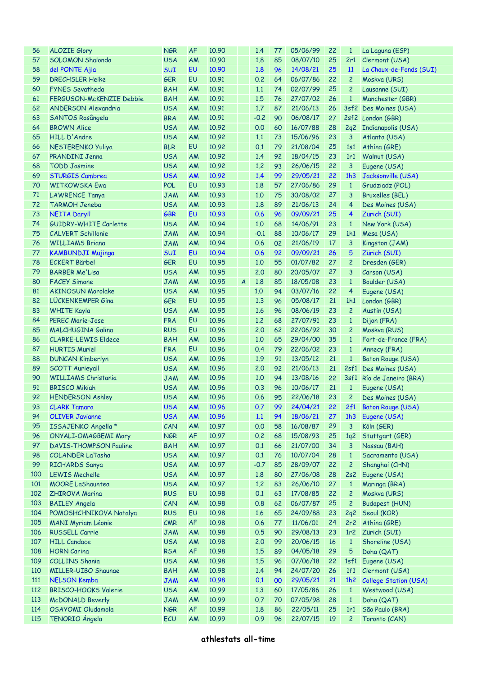| 56  | <b>ALOZIE Glory</b>           | <b>NGR</b> | <b>AF</b> | 10.90 |                | 1.4        | 77 | 05/06/99 | 22 | $\mathbf{1}$    | La Laguna (ESP)                      |
|-----|-------------------------------|------------|-----------|-------|----------------|------------|----|----------|----|-----------------|--------------------------------------|
| 57  | <b>SOLOMON Shalonda</b>       | <b>USA</b> | AM        | 10.90 |                | 1.8        | 85 | 08/07/10 | 25 | 2r1             | Clermont (USA)                       |
| 58  | del PONTE Ajla                | <b>SUI</b> | EU        | 10.90 |                | 1.8        | 96 | 14/08/21 | 25 | <b>11</b>       | La Chaux-de-Fonds (SUI)              |
| 59  | <b>DRECHSLER Heike</b>        | <b>GER</b> | EU        | 10.91 |                | 0.2        | 64 | 06/07/86 | 22 | $\overline{c}$  | Moskva (URS)                         |
| 60  | <b>FYNES Sevatheda</b>        | <b>BAH</b> | AM        | 10.91 |                | 1.1        | 74 | 02/07/99 | 25 | $\overline{c}$  | Lausanne (SUI)                       |
| 61  | FERGUSON-McKENZIE Debbie      | <b>BAH</b> | AM        | 10.91 |                | 1.5        | 76 | 27/07/02 | 26 | $\mathbf{1}$    | Manchester (GBR)                     |
| 62  | <b>ANDERSON Alexandria</b>    | <b>USA</b> | AM        | 10.91 |                | 1.7        | 87 | 21/06/13 | 26 |                 | 3sf2 Des Moines (USA)                |
| 63  | SANTOS Rosângela              | <b>BRA</b> | AM        | 10.91 |                | $-0.2$     | 90 | 06/08/17 | 27 |                 | 2sf2 London (GBR)                    |
| 64  | <b>BROWN Alice</b>            | <b>USA</b> | AM        | 10.92 |                | 0.0        | 60 | 16/07/88 | 28 | 2q2             | <b>Indianapolis (USA)</b>            |
| 65  | HILL D'Andre                  | <b>USA</b> | AM        | 10.92 |                | 1.1        | 73 | 15/06/96 | 23 | 3               | Atlanta (USA)                        |
|     |                               |            |           |       |                |            |    |          |    |                 |                                      |
| 66  | <b>NESTERENKO Yuliya</b>      | <b>BLR</b> | EU        | 10.92 |                | 0.1        | 79 | 21/08/04 | 25 | 1s1             | Athina (GRE)                         |
| 67  | PRANDINI Jenna                | <b>USA</b> | AM        | 10.92 |                | 1.4        | 92 | 18/04/15 | 23 | 1r1             | Walnut (USA)                         |
| 68  | <b>TODD Jasmine</b>           | <b>USA</b> | AM        | 10.92 |                | 1.2        | 93 | 26/06/15 | 22 | 3               | Eugene (USA)                         |
| 69  | <b>STURGIS Cambrea</b>        | <b>USA</b> | <b>AM</b> | 10.92 |                | 1.4        | 99 | 29/05/21 | 22 | 1h3             | Jacksonville (USA)                   |
| 70  | <b>WITKOWSKA Ewa</b>          | <b>POL</b> | EU        | 10.93 |                | 1.8        | 57 | 27/06/86 | 29 | $\mathbf{1}$    | Grudziadz (POL)                      |
| 71  | <b>LAWRENCE Tanya</b>         | <b>JAM</b> | AM        | 10.93 |                | 1.0        | 75 | 30/08/02 | 27 | 3               | <b>Bruxelles (BEL)</b>               |
| 72  | <b>TARMOH Jeneba</b>          | <b>USA</b> | AM        | 10.93 |                | 1.8        | 89 | 21/06/13 | 24 | $\overline{4}$  | Des Moines (USA)                     |
| 73  | <b>NEITA Daryll</b>           | <b>GBR</b> | EU        | 10.93 |                | 0.6        | 96 | 09/09/21 | 25 | 4               | Zürich (SUI)                         |
| 74  | GUIDRY-WHITE Carlette         | <b>USA</b> | AM        | 10.94 |                | 1.0        | 68 | 14/06/91 | 23 | $\mathbf{1}$    | New York (USA)                       |
| 75  | <b>CALVERT Schillonie</b>     | <b>JAM</b> | AM        | 10.94 |                | $-0.1$     | 88 | 10/06/17 | 29 | 1h1             | Mesa (USA)                           |
| 76  | <b>WILLIAMS Briana</b>        | <b>JAM</b> | AM        | 10.94 |                | 0.6        | 02 | 21/06/19 | 17 | 3               | Kingston (JAM)                       |
| 77  | <b>KAMBUNDJI Mujinga</b>      | <b>SUI</b> | EU        | 10.94 |                | 0.6        | 92 | 09/09/21 | 26 | 5               | Zürich (SUI)                         |
| 78  | <b>ECKERT Bärbel</b>          | <b>GER</b> | EU        | 10.95 |                | 1.0        | 55 | 01/07/82 | 27 | $\overline{c}$  | Dresden (GER)                        |
| 79  | <b>BARBER Me'Lisa</b>         | <b>USA</b> | AM        | 10.95 |                | 2.0        | 80 | 20/05/07 | 27 | 3               | Carson (USA)                         |
| 80  | <b>FACEY Simone</b>           | <b>JAM</b> | AM        | 10.95 | $\overline{A}$ | 1.8        | 85 | 18/05/08 | 23 | $\mathbf{1}$    | Boulder (USA)                        |
| 81  | <b>AKINOSUN Morolake</b>      | <b>USA</b> | AM        | 10.95 |                | 1.0        | 94 | 03/07/16 | 22 | $\overline{4}$  | Eugene (USA)                         |
| 82  | LÜCKENKEMPER Gina             | <b>GER</b> | EU        | 10.95 |                | 1.3        | 96 | 05/08/17 | 21 | 1h1             | London (GBR)                         |
| 83  | <b>WHITE Kayla</b>            | <b>USA</b> | AM        | 10.95 |                | 1.6        | 96 | 08/06/19 | 23 | $\overline{c}$  | Austin (USA)                         |
| 84  | <b>PEREC Marie-Jose</b>       | <b>FRA</b> | EU        | 10.96 |                | 1.2        | 68 | 27/07/91 | 23 | $\mathbf{1}$    | Dijon (FRA)                          |
| 85  | <b>MALCHUGINA Galina</b>      | <b>RUS</b> | EU        | 10.96 |                | 2.0        | 62 | 22/06/92 | 30 | $\overline{c}$  | Moskva (RUS)                         |
| 86  | <b>CLARKE-LEWIS Eldece</b>    | <b>BAH</b> | AM        | 10.96 |                | 1.0        | 65 | 29/04/00 | 35 | $\mathbf{1}$    | Fort-de-France (FRA)                 |
| 87  | <b>HURTIS Muriel</b>          | <b>FRA</b> | EU        | 10.96 |                | 0.4        | 79 | 22/06/02 | 23 | $\mathbf{1}$    | Annecy (FRA)                         |
| 88  | <b>DUNCAN Kimberlyn</b>       | <b>USA</b> | AM        | 10.96 |                | 1.9        | 91 | 13/05/12 | 21 | $\mathbf{1}$    | Baton Rouge (USA)                    |
| 89  | <b>SCOTT Aurieyall</b>        | <b>USA</b> | AM        | 10.96 |                | 2.0        | 92 | 21/06/13 | 21 |                 | 2sf1 Des Moines (USA)                |
| 90  | <b>WILLIAMS Christania</b>    | <b>JAM</b> | AM        | 10.96 |                | 1.0        | 94 | 13/08/16 | 22 |                 | 3sf1 Río de Janeiro (BRA)            |
| 91  | <b>BRISCO Mikiah</b>          | <b>USA</b> | AM        | 10.96 |                | 0.3        | 96 | 10/06/17 | 21 | $\mathbf{1}$    |                                      |
|     |                               |            |           |       |                |            | 95 |          |    |                 | Eugene (USA)                         |
| 92  | <b>HENDERSON Ashley</b>       | <b>USA</b> | AM        | 10.96 |                | 0.6<br>0.7 |    | 22/06/18 | 23 | $\overline{c}$  | Des Moines (USA)                     |
| 93  | <b>CLARK Tamara</b>           | <b>USA</b> | AM        | 10.96 |                |            |    |          |    |                 | 99 24/04/21 22 2f1 Baton Rouge (USA) |
| 94  | <b>OLIVER Javianne</b>        | <b>USA</b> | <b>AM</b> | 10.96 |                | 1.1        | 94 | 18/06/21 | 27 | 1h3             | Eugene (USA)                         |
| 95  | ISSAJENKO Angella *           | CAN        | AM        | 10.97 |                | 0.0        | 58 | 16/08/87 | 29 | 3               | Köln (GER)                           |
| 96  | ONYALI-OMAGBEMI Mary          | <b>NGR</b> | <b>AF</b> | 10.97 |                | 0.2        | 68 | 15/08/93 | 25 | 1q <sup>2</sup> | Stuttgart (GER)                      |
| 97  | <b>DAVIS-THOMPSON Pauline</b> | <b>BAH</b> | AM        | 10.97 |                | 0.1        | 66 | 21/07/00 | 34 | 3               | Nassau (BAH)                         |
| 98  | <b>COLANDER LaTasha</b>       | <b>USA</b> | AM        | 10.97 |                | 0.1        | 76 | 10/07/04 | 28 | $\mathbf{1}$    | Sacramento (USA)                     |
| 99  | <b>RICHARDS Sanya</b>         | <b>USA</b> | AM        | 10.97 |                | $-0.7$     | 85 | 28/09/07 | 22 | $\overline{c}$  | Shanghai (CHN)                       |
| 100 | <b>LEWIS Mechelle</b>         | <b>USA</b> | AM        | 10.97 |                | 1.8        | 80 | 27/06/08 | 28 | 2s2             | Eugene (USA)                         |
| 101 | <b>MOORE LaShauntea</b>       | <b>USA</b> | AM        | 10.97 |                | 1.2        | 83 | 26/06/10 | 27 | $\mathbf{1}$    | Maringa (BRA)                        |
| 102 | <b>ZHIROVA Marina</b>         | <b>RUS</b> | EU        | 10.98 |                | 0.1        | 63 | 17/08/85 | 22 | $\overline{c}$  | Moskva (URS)                         |
| 103 | <b>BAILEY Angela</b>          | CAN        | AM        | 10.98 |                | 0.8        | 62 | 06/07/87 | 25 | $\overline{c}$  | <b>Budapest (HUN)</b>                |
| 104 | POMOSHCHNIKOVA Natalya        | <b>RUS</b> | EU        | 10.98 |                | 1.6        | 65 | 24/09/88 | 23 | 2q2             | Seoul (KOR)                          |
| 105 | <b>MANI Myriam Léonie</b>     | CMR        | <b>AF</b> | 10.98 |                | 0.6        | 77 | 11/06/01 | 24 | 2r <sub>2</sub> | Athina (GRE)                         |
| 106 | <b>RUSSELL Carrie</b>         | <b>JAM</b> | AM        | 10.98 |                | 0.5        | 90 | 29/08/13 | 23 | 1r <sub>2</sub> | Zürich (SUI)                         |
| 107 | <b>HILL Candace</b>           | <b>USA</b> | AM        | 10.98 |                | 2.0        | 99 | 20/06/15 | 16 | $\mathbf{1}$    | Shoreline (USA)                      |
| 108 | <b>HORN Carina</b>            | <b>RSA</b> | <b>AF</b> | 10.98 |                | 1.5        | 89 | 04/05/18 | 29 | 5               | Doha (QAT)                           |
| 109 | <b>COLLINS Shania</b>         | <b>USA</b> | AM        | 10.98 |                | 1.5        | 96 | 07/06/18 | 22 | 1sf1            | Eugene (USA)                         |
| 110 | <b>MILLER-UIBO Shaunae</b>    | <b>BAH</b> | AM        | 10.98 |                | 1.4        | 94 | 24/07/20 | 26 | 1f1             | Clermont (USA)                       |
| 111 | <b>NELSON Kemba</b>           | <b>JAM</b> | <b>AM</b> | 10.98 |                | 0.1        | 00 | 29/05/21 | 21 | 1h2             | College Station (USA)                |
| 112 | <b>BRISCO-HOOKS Valerie</b>   | <b>USA</b> | AM        | 10.99 |                | 1.3        | 60 | 17/05/86 | 26 | $\mathbf{1}$    | Westwood (USA)                       |
| 113 | <b>McDONALD Beverly</b>       | <b>JAM</b> | AM        | 10.99 |                | 0.7        | 70 | 07/05/98 | 28 | $\mathbf{1}$    | Doha (QAT)                           |
| 114 | OSAYOMI Oludamola             | <b>NGR</b> | <b>AF</b> | 10.99 |                | 1.8        | 86 | 22/05/11 | 25 | 1r1             | São Paulo (BRA)                      |
| 115 | TENORIO Ángela                | ECU        | AM        | 10.99 |                | 0.9        | 96 | 22/07/15 | 19 | 2               | Toronto (CAN)                        |
|     |                               |            |           |       |                |            |    |          |    |                 |                                      |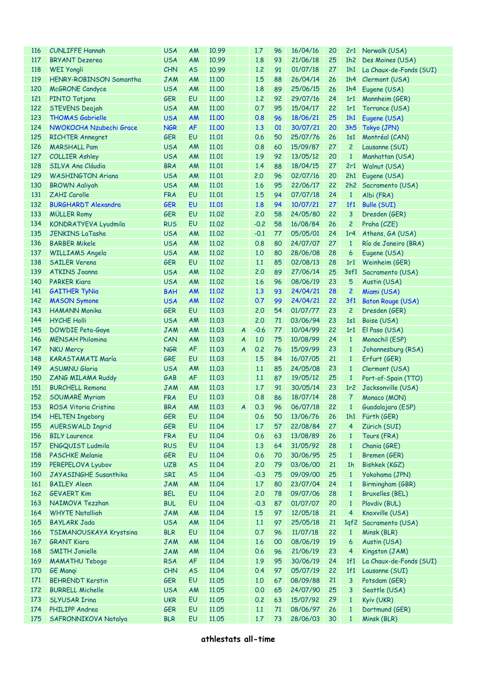| 116 | <b>CUNLIFFE Hannah</b>     | <b>USA</b> | AM        | 10.99 |                  | 1.7                                                                                | 96 | 16/04/16 | 20 |                 | 2r1 Norwalk (USA)           |
|-----|----------------------------|------------|-----------|-------|------------------|------------------------------------------------------------------------------------|----|----------|----|-----------------|-----------------------------|
| 117 | <b>BRYANT Dezerea</b>      | <b>USA</b> | AM        | 10.99 |                  | 1.8                                                                                | 93 | 21/06/18 | 25 |                 | 1h2 Des Moines (USA)        |
| 118 | <b>WEI Yongli</b>          | CHN        | <b>AS</b> | 10.99 |                  | 1.2                                                                                | 91 | 01/07/18 | 27 |                 | 1h1 La Chaux-de-Fonds (SUI) |
| 119 | HENRY-ROBINSON Samantha    | <b>JAM</b> | AM        | 11.00 |                  | 1.5                                                                                | 88 | 26/04/14 | 26 | 1h4             | Clermont (USA)              |
| 120 | <b>McGRONE</b> Candyce     | <b>USA</b> | AM        | 11.00 |                  | 1.8                                                                                | 89 | 25/06/15 | 26 | 1h4             | Eugene (USA)                |
| 121 | PINTO Tatjana              | <b>GER</b> | EU        | 11.00 |                  | 1.2                                                                                | 92 | 29/07/16 | 24 | 1r1             | Mannheim (GER)              |
| 122 | STEVENS Deajah             | <b>USA</b> | AM        | 11.00 |                  | 0.7                                                                                | 95 | 15/04/17 | 22 | 1r1             | Torrance (USA)              |
| 123 | <b>THOMAS Gabrielle</b>    | <b>USA</b> | <b>AM</b> | 11.00 |                  | 0.8                                                                                | 96 | 18/06/21 | 25 | 1h1             | Eugene (USA)                |
| 124 | NWOKOCHA Nzubechi Grace    | <b>NGR</b> | <b>AF</b> | 11.00 |                  | 1.3                                                                                | 01 | 30/07/21 | 20 | 3h5             | Tokyo (JPN)                 |
| 125 | <b>RICHTER Annegret</b>    | <b>GER</b> | EU        | 11.01 |                  | 0.6                                                                                | 50 | 25/07/76 | 26 | 1s1             | Montréal (CAN)              |
| 126 | <b>MARSHALL Pam</b>        | <b>USA</b> | AM        | 11.01 |                  | 0.8                                                                                | 60 | 15/09/87 | 27 | $\overline{c}$  | Lausanne (SUI)              |
| 127 | <b>COLLIER Ashley</b>      | <b>USA</b> | AM        | 11.01 |                  | 1.9                                                                                | 92 | 13/05/12 | 20 | $\mathbf{1}$    | Manhattan (USA)             |
| 128 | SILVA Ana Cláudia          | <b>BRA</b> | AM        | 11.01 |                  | 1.4                                                                                | 88 | 18/04/15 | 27 | 2r1             | Walnut (USA)                |
| 129 | <b>WASHINGTON Ariana</b>   | <b>USA</b> | AM        | 11.01 |                  | 2.0                                                                                | 96 | 02/07/16 | 20 | 2h1             | Eugene (USA)                |
| 130 |                            | <b>USA</b> | AM        | 11.01 |                  | 1.6                                                                                | 95 | 22/06/17 | 22 | 2h2             |                             |
|     | <b>BROWN Aaliyah</b>       |            |           |       |                  | 1.5                                                                                |    | 07/07/18 |    |                 | Sacramento (USA)            |
| 131 | ZAHI Carolle               | <b>FRA</b> | EU        | 11.01 |                  |                                                                                    | 94 |          | 24 | $\mathbf{1}$    | Albi (FRA)                  |
| 132 | <b>BURGHARDT Alexandra</b> | <b>GER</b> | EU        | 11.01 |                  | 1.8                                                                                | 94 | 10/07/21 | 27 | 1f1             | <b>Bulle (SUI)</b>          |
| 133 | <b>MÜLLER Romy</b>         | <b>GER</b> | EU        | 11.02 |                  | 2.0                                                                                | 58 | 24/05/80 | 22 | 3               | Dresden (GER)               |
| 134 | KONDRATYEVA Lyudmila       | <b>RUS</b> | EU        | 11.02 |                  | $-0.2$                                                                             | 58 | 16/08/84 | 26 | $\overline{c}$  | Praha (CZE)                 |
| 135 | <b>JENKINS LaTasha</b>     | <b>USA</b> | AM        | 11.02 |                  | $-0.1$                                                                             | 77 | 05/05/01 | 24 | 1r <sub>4</sub> | Athens, GA (USA)            |
| 136 | <b>BARBER Mikele</b>       | <b>USA</b> | AM        | 11.02 |                  | 0.8                                                                                | 80 | 24/07/07 | 27 | $\mathbf{1}$    | Río de Janeiro (BRA)        |
| 137 | <b>WILLIAMS Angela</b>     | <b>USA</b> | AM        | 11.02 |                  | 1,0                                                                                | 80 | 28/06/08 | 28 | 6               | Eugene (USA)                |
| 138 | <b>SAILER Verena</b>       | <b>GER</b> | <b>EU</b> | 11.02 |                  | 1.1                                                                                | 85 | 02/08/13 | 28 | 1r1             | Weinheim (GER)              |
| 139 | <b>ATKINS Joanna</b>       | <b>USA</b> | AM        | 11.02 |                  | 2.0                                                                                | 89 | 27/06/14 | 25 |                 | 3sf1 Sacramento (USA)       |
| 140 | <b>PARKER Kiara</b>        | <b>USA</b> | AM        | 11.02 |                  | 1.6                                                                                | 96 | 08/06/19 | 23 | 5               | Austin (USA)                |
| 141 | <b>GAITHER TyNia</b>       | <b>BAH</b> | AM        | 11.02 |                  | 1.3                                                                                | 93 | 24/04/21 | 28 | $\overline{c}$  | Miami (USA)                 |
| 142 | <b>MASON Symone</b>        | <b>USA</b> | AM        | 11.02 |                  | 0.7                                                                                | 99 | 24/04/21 | 22 | 3f1             | <b>Baton Rouge (USA)</b>    |
| 143 | <b>HAMANN Monika</b>       | <b>GER</b> | EU        | 11.03 |                  | 2.0                                                                                | 54 | 01/07/77 | 23 | $\overline{c}$  | Dresden (GER)               |
| 144 | <b>HYCHE Holli</b>         | <b>USA</b> | AM        | 11.03 |                  | 2,0                                                                                | 71 | 03/06/94 | 23 | 1s1             | Boise (USA)                 |
| 145 | <b>DOWDIE Peta-Gaye</b>    | <b>JAM</b> | AM        | 11.03 | $\boldsymbol{A}$ | $-0.6$                                                                             | 77 | 10/04/99 | 22 | 1r1             | El Paso (USA)               |
| 146 | <b>MENSAH Philomina</b>    | CAN        | AM        | 11.03 | $\boldsymbol{A}$ | 1,0                                                                                | 75 | 10/08/99 | 24 | $\mathbf{1}$    | Monachil (ESP)              |
| 147 | <b>NKU Mercy</b>           | <b>NGR</b> | AF        | 11.03 | $\boldsymbol{A}$ | 0.2                                                                                | 76 | 15/09/99 | 23 | $\mathbf{1}$    | Johannesburg (RSA)          |
| 148 | <b>KARASTAMATI María</b>   | GRE        | EU        | 11.03 |                  | 1.5                                                                                | 84 | 16/07/05 | 21 | $\mathbf{1}$    | Erfurt (GER)                |
| 149 | <b>ASUMNU Gloria</b>       | <b>USA</b> | AM        | 11.03 |                  | 1.1                                                                                | 85 | 24/05/08 | 23 | $\mathbf{1}$    | Clermont (USA)              |
| 150 | ZANG MILAMA Ruddy          | GAB        | AF        | 11.03 |                  | 1.1                                                                                | 87 | 19/05/12 | 25 | $\mathbf{1}$    | Port-of-Spain (TTO)         |
| 151 | <b>BURCHELL Remona</b>     | <b>JAM</b> | AM        | 11.03 |                  | 1.7                                                                                | 91 | 30/05/14 | 23 | 1r2             | Jacksonville (USA)          |
| 152 | SOUMARÉ Myriam             | <b>FRA</b> | EU        | 11.03 |                  | 0.8                                                                                | 86 | 18/07/14 | 28 | 7.              | Monaco (MON)                |
|     | 153 ROSA Vitoria Cristina  | <b>BRA</b> | AM        | 11.03 |                  | $\begin{array}{ c c c c c } \hline \textbf{A} & \textbf{0.3} \\\hline \end{array}$ | 96 | 06/07/18 | 22 |                 | 1 Guadalajara (ESP)         |
| 154 | <b>HELTEN Ingeborg</b>     | <b>GER</b> | EU        | 11.04 |                  | 0.6                                                                                | 50 | 13/06/76 | 26 | 1h1             | Fürth (GER)                 |
| 155 | <b>AUERSWALD Ingrid</b>    | GER        | EU        | 11.04 |                  | 1.7                                                                                | 57 | 22/08/84 | 27 | 4               | Zürich (SUI)                |
| 156 | <b>BILY Laurence</b>       | <b>FRA</b> | EU        | 11.04 |                  | 0.6                                                                                | 63 | 13/08/89 | 26 | $\mathbf{1}$    | Tours (FRA)                 |
| 157 | ENGQUIST Ludmila           | <b>RUS</b> | EU        | 11.04 |                  | 1.3                                                                                | 64 | 31/05/92 | 28 | $\mathbf{1}$    | Chania (GRE)                |
| 158 | <b>PASCHKE Melanie</b>     | <b>GER</b> | EU        | 11.04 |                  | 0.6                                                                                | 70 | 30/06/95 | 25 | $\mathbf{1}$    | Bremen (GER)                |
| 159 | PEREPELOVA Lyubov          | <b>UZB</b> | <b>AS</b> | 11.04 |                  | 2.0                                                                                | 79 | 03/06/00 | 21 | 1 <sub>h</sub>  | Bishkek (KGZ)               |
| 160 | JAYASINGHE Susanthika      | SRI        | <b>AS</b> | 11.04 |                  | $-0.3$                                                                             | 75 | 09/09/00 | 25 | $\mathbf{1}$    | Yokohama (JPN)              |
| 161 | <b>BAILEY Aleen</b>        | <b>JAM</b> | AM        | 11.04 |                  | 1.7                                                                                | 80 | 23/07/04 | 24 | $\mathbf{1}$    | Birmingham (GBR)            |
| 162 | <b>GEVAERT Kim</b>         | <b>BEL</b> | EU        | 11.04 |                  | 2.0                                                                                | 78 | 09/07/06 | 28 | $\mathbf{1}$    | <b>Bruxelles (BEL)</b>      |
| 163 | NAIMOVA Tezzhan            | <b>BUL</b> | EU        | 11.04 |                  | $-0.3$                                                                             | 87 | 01/07/07 | 20 | $\mathbf{1}$    | Plovdiv (BUL)               |
| 164 | <b>WHYTE Natalliah</b>     | <b>JAM</b> | AM        | 11.04 |                  | 1.5                                                                                | 97 | 12/05/18 | 21 | 4               | Knoxville (USA)             |
| 165 | <b>BAYLARK Jada</b>        | <b>USA</b> | AM        | 11.04 |                  | 1.1                                                                                | 97 | 25/05/18 | 21 |                 | 1qf2 Sacramento (USA)       |
| 166 | TSIMANOUSKAYA Krystsina    | <b>BLR</b> | EU        | 11.04 |                  | 0.7                                                                                | 96 | 11/07/18 | 22 | $\mathbf{1}$    | Minsk (BLR)                 |
| 167 | <b>GRANT Kiara</b>         | <b>JAM</b> | AM        | 11.04 |                  | 1.6                                                                                | 00 | 08/06/19 | 19 | 6               | Austin (USA)                |
| 168 | <b>SMITH Jonielle</b>      |            | AM        | 11.04 |                  | 0.6                                                                                | 96 | 21/06/19 | 23 | 4               | Kingston (JAM)              |
| 169 |                            | <b>JAM</b> | AF        | 11.04 |                  | 1.9                                                                                | 95 | 30/06/19 | 24 | 1f1             | La Chaux-de-Fonds (SUI)     |
|     | <b>MAMATHU Tebogo</b>      | <b>RSA</b> |           |       |                  |                                                                                    |    |          |    |                 |                             |
| 170 | <b>GE Mangi</b>            | CHN        | <b>AS</b> | 11.04 |                  | 0.4                                                                                | 97 | 05/07/19 | 22 | 1f1             | Lausanne (SUI)              |
| 171 | <b>BEHRENDT Kerstin</b>    | <b>GER</b> | EU        | 11.05 |                  | 1.0                                                                                | 67 | 08/09/88 | 21 | 3               | Potsdam (GER)               |
| 172 | <b>BURRELL Michelle</b>    | <b>USA</b> | AM        | 11.05 |                  | 0.0                                                                                | 65 | 24/07/90 | 25 | 3               | Seattle (USA)               |
| 173 | <b>SLYUSAR Irina</b>       | <b>UKR</b> | EU        | 11.05 |                  | 0.2                                                                                | 63 | 15/07/92 | 29 | $\mathbf{1}$    | Kyiv (UKR)                  |
| 174 | PHILIPP Andrea             | <b>GER</b> | EU        | 11.05 |                  | 1.1                                                                                | 71 | 08/06/97 | 26 | $\mathbf{1}$    | Dortmund (GER)              |
| 175 | SAFRONNIKOVA Natalya       | <b>BLR</b> | EU        | 11.05 |                  | 1.7                                                                                | 73 | 28/06/03 | 30 | $\mathbf{1}$    | Minsk (BLR)                 |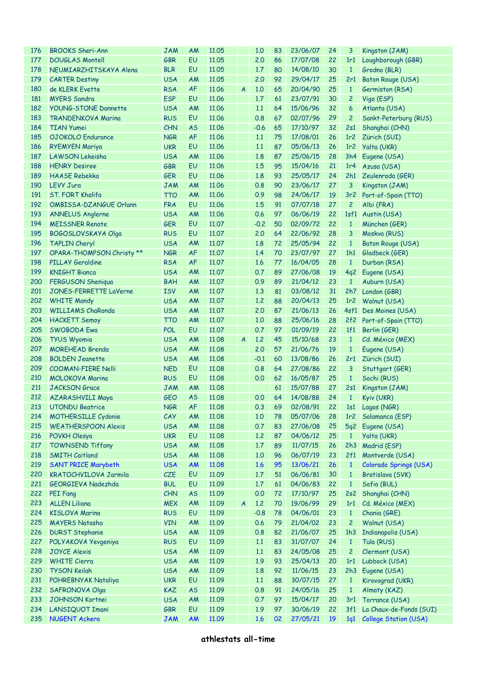| 176 | <b>BROOKS Sheri-Ann</b>    | <b>JAM</b> | AM        | 11.05 |                  | 1.0    | 83 | 23/06/07 | 24 | 3                    | Kingston (JAM)                     |
|-----|----------------------------|------------|-----------|-------|------------------|--------|----|----------|----|----------------------|------------------------------------|
| 177 | <b>DOUGLAS Montell</b>     | <b>GBR</b> | EU        | 11.05 |                  | 2.0    | 86 | 17/07/08 | 22 | 1r1                  | Loughborough (GBR)                 |
| 178 | NEUMIARZHITSKAYA Alena     | <b>BLR</b> | EU        | 11.05 |                  | 1.7    | 80 | 14/08/10 | 30 | $\mathbf{1}$         | Grodno (BLR)                       |
| 179 | <b>CARTER Destiny</b>      | <b>USA</b> | AM        | 11.05 |                  | 2.0    | 92 | 29/04/17 | 25 | 2r1                  | Baton Rouge (USA)                  |
| 180 | de KLERK Evette            | <b>RSA</b> | <b>AF</b> | 11.06 | $\overline{A}$   | 1.0    | 65 | 20/04/90 | 25 | $\mathbf{1}$         | Germiston (RSA)                    |
| 181 | <b>MYERS Sandra</b>        | <b>ESP</b> | EU        | 11.06 |                  | 1.7    | 61 | 23/07/91 | 30 | $\overline{c}$       | Vigo (ESP)                         |
| 182 | YOUNG-STONE Dannette       | <b>USA</b> | AM        | 11.06 |                  | 1.1    | 64 | 15/06/96 | 32 | 6                    | Atlanta (USA)                      |
| 183 | <b>TRANDENKOVA Marina</b>  | <b>RUS</b> | EU        | 11.06 |                  | 0.8    | 67 | 02/07/96 | 29 | $\overline{c}$       | Sankt-Peterburg (RUS)              |
| 184 | <b>TIAN Yumei</b>          | CHN        | <b>AS</b> | 11.06 |                  | $-0.6$ | 65 | 17/10/97 | 32 | 2s1                  | Shanghai (CHN)                     |
| 185 | OJOKOLO Endurance          | <b>NGR</b> | <b>AF</b> | 11.06 |                  | 1.1    | 75 | 17/08/01 | 26 | 1r <sub>2</sub>      | Zürich (SUI)                       |
| 186 | <b>RYEMYEN Mariya</b>      | <b>UKR</b> | <b>EU</b> | 11.06 |                  | 1.1    | 87 | 05/06/13 | 26 | 1r <sub>2</sub>      | <b>Yalta (UKR)</b>                 |
| 187 | <b>LAWSON Lekeisha</b>     | <b>USA</b> | AM        | 11.06 |                  | 1.8    | 87 | 25/06/15 | 28 | 3h4                  | Eugene (USA)                       |
| 188 | <b>HENRY Desiree</b>       | <b>GBR</b> | EU        | 11.06 |                  | 1.5    | 95 | 15/04/16 | 21 | 1r <sub>4</sub>      | Azusa (USA)                        |
| 189 | <b>HAASE Rebekka</b>       | <b>GER</b> | EU        | 11.06 |                  | 1.8    | 93 | 25/05/17 | 24 | 2h1                  | Zeulenroda (GER)                   |
| 190 | <b>LEVY Jura</b>           | <b>JAM</b> | AM        | 11.06 |                  | 0.8    | 90 | 23/06/17 | 27 | 3                    | Kingston (JAM)                     |
| 191 | ST. FORT Khalifa           | <b>TTO</b> | AM        | 11.06 |                  | 0.9    | 98 | 24/06/17 | 19 |                      |                                    |
| 192 | OMBISSA-DZANGUE Orlann     | <b>FRA</b> | EU        | 11.06 |                  | 1.5    | 91 | 07/07/18 | 27 | 3r <sub>2</sub><br>2 | Port-of-Spain (TTO)                |
| 193 |                            | <b>USA</b> | AM        | 11.06 |                  | 0.6    | 97 | 06/06/19 | 22 | 1sf1                 | Albi (FRA)                         |
|     | <b>ANNELUS Anglerne</b>    |            |           |       |                  |        |    |          |    |                      | Austin (USA)                       |
| 194 | <b>MEISSNER Renate</b>     | <b>GER</b> | EU        | 11.07 |                  | $-0.2$ | 50 | 02/09/72 | 22 | $\mathbf{1}$         | München (GER)                      |
| 195 | <b>BOGOSLOVSKAYA Olga</b>  | <b>RUS</b> | EU        | 11.07 |                  | 2.0    | 64 | 22/06/92 | 28 | 3                    | Moskva (RUS)                       |
| 196 | <b>TAPLIN Cheryl</b>       | <b>USA</b> | AM        | 11.07 |                  | 1.8    | 72 | 25/05/94 | 22 | $\mathbf{1}$         | Baton Rouge (USA)                  |
| 197 | OPARA-THOMPSON Christy **  | <b>NGR</b> | <b>AF</b> | 11.07 |                  | 1.4    | 70 | 23/07/97 | 27 | 1h1                  | Gladbeck (GER)                     |
| 198 | <b>PILLAY Geraldine</b>    | <b>RSA</b> | <b>AF</b> | 11.07 |                  | 1.6    | 77 | 16/04/05 | 28 | $\mathbf{1}$         | Durban (RSA)                       |
| 199 | <b>KNIGHT Bianca</b>       | <b>USA</b> | AM        | 11.07 |                  | 0.7    | 89 | 27/06/08 | 19 | 4q2                  | Eugene (USA)                       |
| 200 | FERGUSON Sheniqua          | <b>BAH</b> | AM        | 11.07 |                  | 0.9    | 89 | 21/04/12 | 23 | $\mathbf{1}$         | Auburn (USA)                       |
| 201 | JONES-FERRETTE LaVerne     | <b>ISV</b> | AM        | 11.07 |                  | 1.3    | 81 | 03/08/12 | 31 | 2h7                  | London (GBR)                       |
| 202 | <b>WHITE Mandy</b>         | <b>USA</b> | AM        | 11.07 |                  | 1.2    | 88 | 20/04/13 | 25 | 1r <sub>2</sub>      | Walnut (USA)                       |
| 203 | <b>WILLIAMS ChaRonda</b>   | <b>USA</b> | AM        | 11.07 |                  | 2.0    | 87 | 21/06/13 | 26 |                      | 4sf1 Des Moines (USA)              |
| 204 | <b>HACKETT Semoy</b>       | <b>TTO</b> | AM        | 11.07 |                  | 1.0    | 88 | 25/06/16 | 28 |                      | 2f2 Port-of-Spain (TTO)            |
| 205 | <b>SWOBODA Ewa</b>         | <b>POL</b> | EU        | 11.07 |                  | 0.7    | 97 | 01/09/19 | 22 | 1f1                  | Berlin (GER)                       |
| 206 | <b>TYUS Wyomia</b>         | <b>USA</b> | AM        | 11.08 | $\overline{A}$   | 1.2    | 45 | 15/10/68 | 23 | $\mathbf{1}$         | Cd. México (MEX)                   |
| 207 | <b>MOREHEAD Brenda</b>     | <b>USA</b> | AM        | 11.08 |                  | 2.0    | 57 | 21/06/76 | 19 | $\mathbf{1}$         | Eugene (USA)                       |
| 208 | <b>BOLDEN Jeanette</b>     | <b>USA</b> | AM        | 11.08 |                  | $-0.1$ | 60 | 13/08/86 | 26 | 2r1                  | Zürich (SUI)                       |
| 209 | <b>COOMAN-FIERE Nelli</b>  | <b>NED</b> | EU        | 11.08 |                  | 0.8    | 64 | 27/08/86 | 22 | 3                    | Stuttgart (GER)                    |
| 210 | <b>MOLOKOVA Marina</b>     | <b>RUS</b> | EU        | 11.08 |                  | 0.0    | 62 | 16/05/87 | 25 | $\mathbf{1}$         | Sochi (RUS)                        |
| 211 | <b>JACKSON</b> Grace       | <b>JAM</b> | AM        | 11.08 |                  |        | 61 | 15/07/88 | 27 | 2s1                  | Kingston (JAM)                     |
| 212 | AZARASHVILI Maya           | <b>GEO</b> | <b>AS</b> | 11.08 |                  | 0.0    | 64 | 14/08/88 | 24 | $\mathbf{1}$         | Kyiv (UKR)                         |
|     | 213 UTONDU Beatrice        | <b>NGR</b> | AF        | 11.08 |                  |        |    |          |    |                      | 0.3 69 02/08/91 22 1s1 Lagos (NGR) |
| 214 | <b>MOTHERSILLE Cydonie</b> | CAY        | AM        | 11.08 |                  | 1.0    | 78 | 05/07/06 | 28 | 1r <sub>2</sub>      | Salamanca (ESP)                    |
| 215 | <b>WEATHERSPOON Alexis</b> | <b>USA</b> | AM        | 11.08 |                  | 0.7    | 83 | 27/06/08 | 25 | 5q2                  | Eugene (USA)                       |
| 216 | POVKH Olesya               | <b>UKR</b> | EU        | 11.08 |                  | 1,2    | 87 | 04/06/12 | 25 | $\mathbf{1}$         | Yalta (UKR)                        |
| 217 | <b>TOWNSEND Tiffany</b>    | <b>USA</b> | AM        | 11.08 |                  | 1.7    | 89 | 11/07/15 | 26 | 2h3                  | Madrid (ESP)                       |
| 218 | <b>SMITH Caitland</b>      | <b>USA</b> | AM        | 11.08 |                  | 1.0    | 96 | 06/07/19 | 23 | 2f1                  | Montverde (USA)                    |
| 219 | <b>SANT PRICE Marybeth</b> | <b>USA</b> | <b>AM</b> | 11.08 |                  | 1.6    | 95 | 13/06/21 | 26 | $\mathbf{1}$         | Colorado Springs (USA)             |
| 220 | KRATOCHVILOVA Jarmila      | CZE        | EU        | 11.09 |                  | 1.7    | 51 | 06/06/81 | 30 | $\mathbf{1}$         | Bratislava (SVK)                   |
| 221 | GEORGIEVA Nadezhda         | <b>BUL</b> | EU        | 11.09 |                  | 1.7    | 61 | 04/06/83 | 22 | $\mathbf{1}$         | Sofia (BUL)                        |
| 222 | <b>PEI Fang</b>            | CHN        | <b>AS</b> | 11.09 |                  | 0.0    | 72 | 17/10/97 | 25 | 2s2                  | Shanghai (CHN)                     |
| 223 | <b>ALLEN Liliana</b>       | <b>MEX</b> | AM        | 11.09 | $\boldsymbol{A}$ | 1.2    | 70 | 19/06/99 | 29 | 1r1                  | Cd. México (MEX)                   |
| 224 | <b>KISLOVA Marina</b>      | <b>RUS</b> | EU        | 11.09 |                  | $-0.8$ | 78 | 04/06/01 | 23 | $\mathbf{1}$         | Chania (GRE)                       |
| 225 | <b>MAYERS Natasha</b>      | <b>VIN</b> | AM        | 11.09 |                  | 0.6    | 79 | 21/04/02 | 23 | $\overline{c}$       | Walnut (USA)                       |
| 226 | <b>DURST Stephanie</b>     | <b>USA</b> | AM        | 11.09 |                  | 0.8    | 82 | 21/06/07 | 25 | 1h3                  | Indianapolis (USA)                 |
| 227 | POLYAKOVA Yevgeniya        | <b>RUS</b> | EU        | 11.09 |                  | 1.1    | 83 | 31/07/07 | 24 | $\mathbf{1}$         | Tula (RUS)                         |
| 228 | <b>JOYCE Alexis</b>        | <b>USA</b> | AM        | 11.09 |                  | 1.1    | 83 | 24/05/08 | 25 | $\overline{c}$       | Clermont (USA)                     |
| 229 | <b>WHITE Cierra</b>        | <b>USA</b> | AM        | 11.09 |                  | 1.9    | 93 | 25/04/13 | 20 | 1r1                  | Lubbock (USA)                      |
| 230 | <b>TYSON Keilah</b>        | <b>USA</b> | AM        | 11.09 |                  | 1.8    | 92 | 11/06/15 | 23 | 2h3                  | Eugene (USA)                       |
| 231 | POHREBNYAK Nataliya        | <b>UKR</b> | EU        | 11.09 |                  | 1.1    | 88 | 30/07/15 | 27 | $\mathbf{1}$         | Kirovograd (UKR)                   |
| 232 | SAFRONOVA Olga             | KAZ        | <b>AS</b> | 11.09 |                  | 0.8    | 91 | 24/05/16 | 25 | $\mathbf{1}$         | Almaty (KAZ)                       |
| 233 | JOHNSON Kortnei            | <b>USA</b> | AM        | 11.09 |                  | 0.7    | 97 | 15/04/17 | 20 | 3r1                  | Torrance (USA)                     |
| 234 | <b>LANSIQUOT Imani</b>     | GBR        | EU        | 11.09 |                  | 1.9    | 97 | 30/06/19 | 22 | 3f1                  | La Chaux-de-Fonds (SUI)            |
| 235 | <b>NUGENT Ackera</b>       |            | <b>AM</b> |       |                  |        |    |          |    |                      |                                    |
|     |                            | <b>JAM</b> |           | 11.09 |                  | 1.6    | 02 | 27/05/21 | 19 | 1q1                  | College Station (USA)              |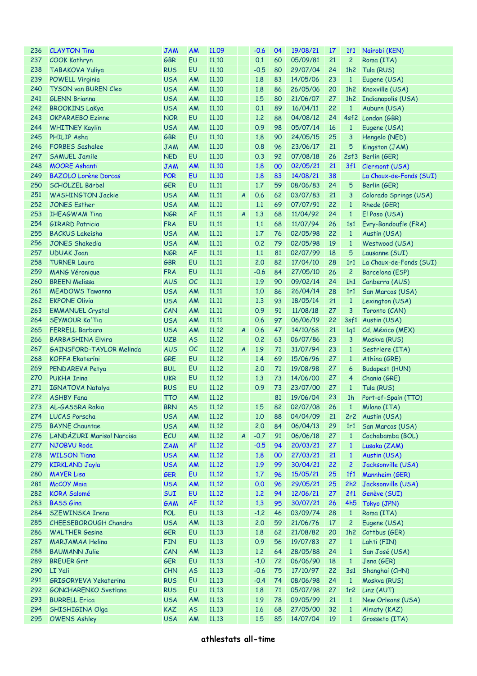| 236 | <b>CLAYTON Tina</b>          | <b>JAM</b> | <b>AM</b> | 11.09 |                  | $-0.6$ | 04 | 19/08/21             | <b>17</b> | 1f1             | Nairobi (KEN)           |
|-----|------------------------------|------------|-----------|-------|------------------|--------|----|----------------------|-----------|-----------------|-------------------------|
| 237 | <b>COOK Kathryn</b>          | <b>GBR</b> | <b>EU</b> | 11.10 |                  | 0.1    | 60 | 05/09/81             | 21        | $\overline{c}$  | Roma (ITA)              |
| 238 | TABAKOVA Yuliya              | <b>RUS</b> | EU        | 11.10 |                  | $-0.5$ | 80 | 29/07/04             | 24        | 1h2             | Tula (RUS)              |
| 239 | <b>POWELL Virginia</b>       | <b>USA</b> | AM        | 11.10 |                  | 1.8    | 83 | 14/05/06             | 23        | $\mathbf{1}$    | Eugene (USA)            |
| 240 | TYSON van BUREN Cleo         | <b>USA</b> | AM        | 11.10 |                  | 1.8    | 86 | 26/05/06             | 20        | 1h2             | Knoxville (USA)         |
| 241 | <b>GLENN Brianna</b>         | <b>USA</b> | AM        | 11.10 |                  | 1.5    | 80 | 21/06/07             | 27        | 1h2             | Indianapolis (USA)      |
| 242 | <b>BROOKINS LaKya</b>        | <b>USA</b> | AM        | 11.10 |                  | 0.1    | 89 | 16/04/11             | 22        | $\mathbf{1}$    | Auburn (USA)            |
| 243 | <b>OKPARAEBO Ezinne</b>      | <b>NOR</b> | EU        | 11.10 |                  | 1.2    | 88 | 04/08/12             | 24        |                 | 4sf2 London (GBR)       |
| 244 | <b>WHITNEY Kaylin</b>        | <b>USA</b> | AM        | 11.10 |                  | 0.9    | 98 | 05/07/14             | 16        | $\mathbf{1}$    | Eugene (USA)            |
| 245 | PHILIP Asha                  | <b>GBR</b> | EU        | 11.10 |                  | 1.8    | 90 | 24/05/15             | 25        | 3               | Hengelo (NED)           |
| 246 | <b>FORBES Sashalee</b>       | <b>JAM</b> | AM        | 11.10 |                  | 0.8    | 96 | 23/06/17             | 21        | 5               | Kingston (JAM)          |
| 247 | <b>SAMUEL Jamile</b>         | <b>NED</b> | <b>EU</b> | 11.10 |                  | 0.3    | 92 | 07/08/18             | 26        |                 | 2sf3 Berlin (GER)       |
| 248 | <b>MOORE Ashanti</b>         | <b>JAM</b> | <b>AM</b> | 11.10 |                  | 1.8    | 00 | 02/05/21             | 21        |                 | 3f1 Clermont (USA)      |
| 249 | <b>BAZOLO Lorène Dorcas</b>  | <b>POR</b> | <b>EU</b> | 11.10 |                  | 1.8    | 83 | 14/08/21             | 38        |                 | La Chaux-de-Fonds (SUI) |
| 250 | SCHÖLZEL Bärbel              | <b>GER</b> | EU        | 11.11 |                  | 1.7    | 59 | 08/06/83             | 24        | 5               | Berlin (GER)            |
|     |                              |            |           |       |                  |        | 62 |                      |           |                 |                         |
| 251 | <b>WASHINGTON Jackie</b>     | <b>USA</b> | AM        | 11.11 | $\boldsymbol{A}$ | 0.6    |    | 03/07/83             | 21        | 3               | Colorado Springs (USA)  |
| 252 | <b>JONES Esther</b>          | <b>USA</b> | AM        | 11.11 |                  | 1.1    | 69 | 07/07/91             | 22        | $\mathbf{1}$    | Rhede (GER)             |
| 253 | <b>IHEAGWAM Tina</b>         | <b>NGR</b> | AF        | 11.11 | $\boldsymbol{A}$ | 1.3    | 68 | 11/04/92             | 24        | $\mathbf{1}$    | El Paso (USA)           |
| 254 | <b>GIRARD Patricia</b>       | <b>FRA</b> | EU        | 11.11 |                  | 1.1    | 68 | 11/07/94             | 26        | 1s1             | Evry-Bondoufle (FRA)    |
| 255 | <b>BACKUS Lakeisha</b>       | <b>USA</b> | AM        | 11.11 |                  | 1.7    | 76 | 02/05/98             | 22        | $\mathbf{1}$    | Austin (USA)            |
| 256 | <b>JONES Shakedia</b>        | <b>USA</b> | AM        | 11.11 |                  | 0.2    | 79 | 02/05/98             | 19        | $\mathbf{1}$    | Westwood (USA)          |
| 257 | <b>UDUAK Joan</b>            | <b>NGR</b> | AF        | 11.11 |                  | 1.1    | 81 | 02/07/99             | 18        | 5               | Lausanne (SUI)          |
| 258 | <b>TURNER Laura</b>          | <b>GBR</b> | <b>EU</b> | 11.11 |                  | 2.0    | 82 | 17/04/10             | 28        | 1r1             | La Chaux-de-Fonds (SUI) |
| 259 | <b>MANG Véronique</b>        | <b>FRA</b> | EU        | 11.11 |                  | $-0.6$ | 84 | 27/05/10             | 26        | $\overline{c}$  | Barcelona (ESP)         |
| 260 | <b>BREEN Melissa</b>         | <b>AUS</b> | <b>OC</b> | 11.11 |                  | 1.9    | 90 | 09/02/14             | 24        | 1h1             | Canberra (AUS)          |
| 261 | <b>MEADOWS Tawanna</b>       | <b>USA</b> | AM        | 11.11 |                  | 1,0    | 86 | 26/04/14             | 28        | 1r1             | San Marcos (USA)        |
| 262 | <b>EKPONE Olivia</b>         | <b>USA</b> | AM        | 11.11 |                  | 1.3    | 93 | 18/05/14             | 21        | $\mathbf{1}$    | Lexington (USA)         |
| 263 | <b>EMMANUEL Crystal</b>      | CAN        | AM        | 11.11 |                  | 0.9    | 91 | 11/08/18             | 27        | 3               | Toronto (CAN)           |
| 264 | <b>SEYMOUR Ka'Tia</b>        | <b>USA</b> | AM        | 11.11 |                  | 0.6    | 97 | 06/06/19             | 22        |                 | 3sf1 Austin (USA)       |
| 265 | <b>FERRELL Barbara</b>       | <b>USA</b> | AM        | 11.12 | $\boldsymbol{A}$ | 0.6    | 47 | 14/10/68             | 21        | 1q1             | Cd. México (MEX)        |
| 266 | <b>BARBASHINA Elvira</b>     | <b>UZB</b> | <b>AS</b> | 11.12 |                  | 0.2    | 63 | 06/07/86             | 23        | 3               | Moskva (RUS)            |
| 267 | GAINSFORD-TAYLOR Melinda     | <b>AUS</b> | <b>OC</b> | 11.12 | $\boldsymbol{A}$ | 1.9    | 71 | 31/07/94             | 23        | $\mathbf{1}$    | Sestriere (ITA)         |
| 268 | <b>KOFFA Ekateríni</b>       | GRE        | <b>EU</b> | 11.12 |                  | 1.4    | 69 | 15/06/96             | 27        | $\mathbf{1}$    | Athína (GRE)            |
| 269 | PENDAREVA Petya              | <b>BUL</b> | EU        | 11.12 |                  | 2.0    | 71 | 19/08/98             | 27        | 6               | <b>Budapest (HUN)</b>   |
| 270 | <b>PUKHA Irina</b>           | <b>UKR</b> | EU        | 11.12 |                  | 1.3    | 73 | 14/06/00             | 27        | 4               | Chania (GRE)            |
| 271 | <b>IGNATOVA Natalya</b>      | <b>RUS</b> | EU        | 11.12 |                  | 0.9    | 73 | 23/07/00             | 27        | $\mathbf{1}$    | Tula (RUS)              |
| 272 | <b>ASHBY Fana</b>            | <b>TTO</b> | AM        | 11.12 |                  |        | 81 | 19/06/04             | 23        | 1 <sub>h</sub>  | Port-of-Spain (TTO)     |
|     | 273 AL-GASSRA Rakia          | <b>BRN</b> | <b>AS</b> | 11.12 |                  | 1.5    |    | 82 02/07/08 26       |           |                 | 1 Milano (ITA)          |
| 274 | <b>LUCAS Porscha</b>         | <b>USA</b> | AM        | 11.12 |                  | 1.0    | 88 | 04/04/09             | 21        | 2r2             | Austin (USA)            |
| 275 | <b>BAYNE Chauntae</b>        | <b>USA</b> | AM        | 11.12 |                  | 2.0    | 84 | 06/04/13             | 29        | 1r1             | San Marcos (USA)        |
| 276 | LANDÁZURI Marisol Narcisa    | ECU        | AM        | 11.12 | $\boldsymbol{A}$ | $-0.7$ | 91 | 06/06/18             | 27        | $\mathbf{1}$    | Cochabamba (BOL)        |
| 277 | NJOBVU Roda                  | <b>ZAM</b> | <b>AF</b> | 11.12 |                  | $-0.5$ | 94 | 20/03/21             | 27        | $\mathbf{1}$    | Lusaka (ZAM)            |
| 278 | <b>WILSON Tiana</b>          | <b>USA</b> | <b>AM</b> | 11.12 |                  | 1.8    | 00 | 27/03/21             | 21        | $\mathbf{1}$    | Austin (USA)            |
| 279 | <b>KIRKLAND Jayla</b>        | <b>USA</b> | <b>AM</b> | 11.12 |                  | 1.9    | 99 | 30/04/21             | 22        | $\overline{c}$  | Jacksonville (USA)      |
| 280 | <b>MAYER Lisa</b>            | <b>GER</b> | EU        | 11.12 |                  | 1.7    | 96 | 15/05/21             | 25        | 1f1             | Mannheim (GER)          |
| 281 | McCOY Maia                   | <b>USA</b> | <b>AM</b> | 11.12 |                  | 0.0    | 96 | 29/05/21             | 25        | 2h2             | Jacksonville (USA)      |
| 282 | <b>KORA Salomé</b>           | <b>SUI</b> | EU        | 11.12 |                  | 1,2    | 94 | 12/06/21             | 27        | 2f1             | Genève (SUI)            |
| 283 | <b>BASS Gina</b>             | GAM        | <b>AF</b> | 11.12 |                  | 1.3    | 95 | 30/07/21             | 26        | 4h5             | Tokyo (JPN)             |
| 284 | SZEWINSKA Irena              | <b>POL</b> | <b>EU</b> | 11.13 |                  | $-1.2$ | 46 | 03/09/74             | 28        | $1\,$           | Roma (ITA)              |
| 285 | <b>CHEESEBOROUGH Chandra</b> | <b>USA</b> | AM        | 11.13 |                  | 2.0    | 59 | 21/06/76             | 17        | $\overline{c}$  | Eugene (USA)            |
| 286 | <b>WALTHER Gesine</b>        | <b>GER</b> | EU        | 11.13 |                  | 1.8    | 62 |                      |           | 1h2             | Cottbus (GER)           |
| 287 | MARJAMAA Helina              | <b>FIN</b> | EU        | 11.13 |                  | 0.9    | 56 | 21/08/82<br>19/07/83 | 20<br>27  | $\mathbf{1}$    | Lahti (FIN)             |
| 288 |                              |            |           |       |                  |        |    |                      |           |                 |                         |
|     | <b>BAUMANN Julie</b>         | CAN        | AM        | 11.13 |                  | 1,2    | 64 | 28/05/88             | 24        | $\mathbf{1}$    | San José (USA)          |
| 289 | <b>BREUER Grit</b>           | <b>GER</b> | EU        | 11.13 |                  | $-1.0$ | 72 | 06/06/90             | 18        | $\mathbf{1}$    | Jena (GER)              |
| 290 | LI Yali                      | CHN        | <b>AS</b> | 11.13 |                  | $-0.6$ | 75 | 17/10/97             | 22        | 3s1             | Shanghai (CHN)          |
| 291 | GRIGORYEVA Yekaterina        | <b>RUS</b> | <b>EU</b> | 11.13 |                  | $-0.4$ | 74 | 08/06/98             | 24        | $\mathbf{1}$    | Moskva (RUS)            |
| 292 | <b>GONCHARENKO Svetlana</b>  | <b>RUS</b> | EU        | 11.13 |                  | 1.8    | 71 | 05/07/98             | 27        | 1r <sub>2</sub> | Linz (AUT)              |
| 293 | <b>BURRELL Erica</b>         | <b>USA</b> | AM        | 11.13 |                  | 1.9    | 78 | 09/05/99             | 21        | $\mathbf{1}$    | New Orleans (USA)       |
| 294 | SHISHIGINA Olga              | KAZ        | <b>AS</b> | 11.13 |                  | 1.6    | 68 | 27/05/00             | 32        | $\mathbf{1}$    | Almaty (KAZ)            |
| 295 | <b>OWENS Ashley</b>          | <b>USA</b> | AM        | 11.13 |                  | 1.5    | 85 | 14/07/04             | 19        | $\mathbf{1}$    | Grosseto (ITA)          |